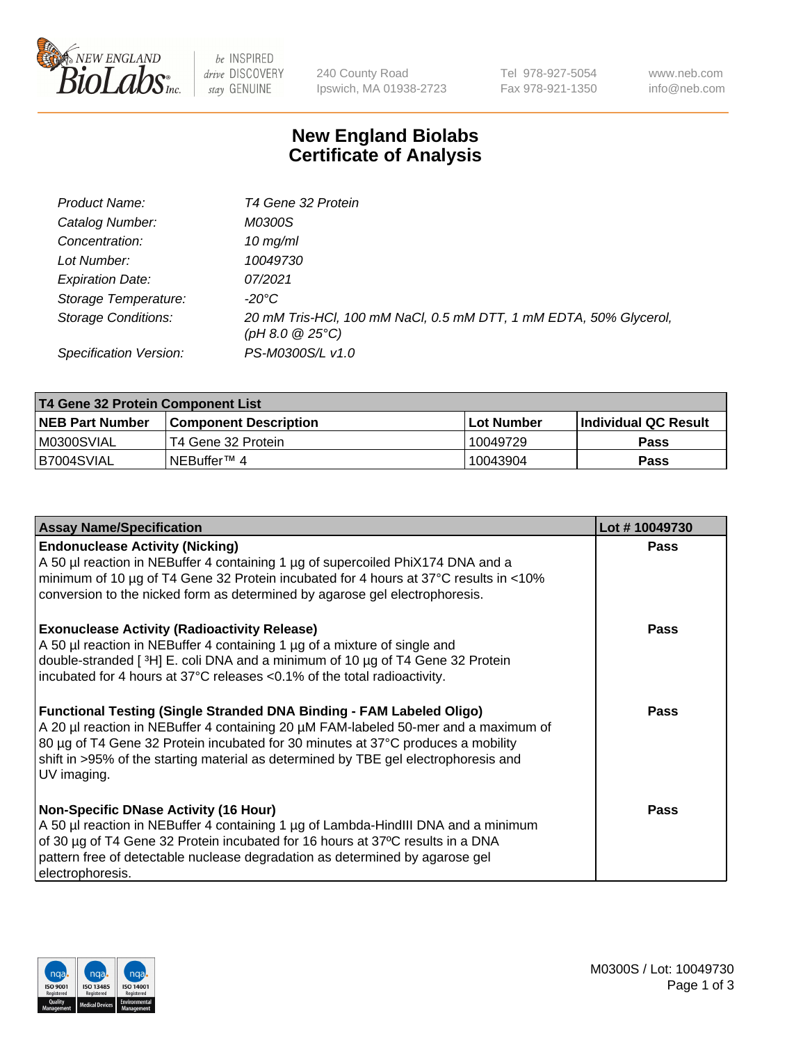

 $be$  INSPIRED drive DISCOVERY stay GENUINE

240 County Road Ipswich, MA 01938-2723 Tel 978-927-5054 Fax 978-921-1350 www.neb.com info@neb.com

## **New England Biolabs Certificate of Analysis**

| Product Name:              | T4 Gene 32 Protein                                                                       |
|----------------------------|------------------------------------------------------------------------------------------|
| Catalog Number:            | M0300S                                                                                   |
| Concentration:             | $10 \, \text{mg/ml}$                                                                     |
| Lot Number:                | 10049730                                                                                 |
| <b>Expiration Date:</b>    | 07/2021                                                                                  |
| Storage Temperature:       | $-20^{\circ}$ C                                                                          |
| <b>Storage Conditions:</b> | 20 mM Tris-HCl, 100 mM NaCl, 0.5 mM DTT, 1 mM EDTA, 50% Glycerol,<br>$(pH 8.0 \ @ 25°C)$ |
| Specification Version:     | PS-M0300S/L v1.0                                                                         |

| T4 Gene 32 Protein Component List |                              |            |                       |  |  |
|-----------------------------------|------------------------------|------------|-----------------------|--|--|
| <b>NEB Part Number</b>            | <b>Component Description</b> | Lot Number | ∣Individual QC Result |  |  |
| IM0300SVIAL                       | T4 Gene 32 Protein           | 10049729   | <b>Pass</b>           |  |  |
| B7004SVIAL                        | INEBuffer™ 4                 | 10043904   | Pass                  |  |  |

| <b>Assay Name/Specification</b>                                                                                                                                                                                                                                                                                                                              | Lot #10049730 |
|--------------------------------------------------------------------------------------------------------------------------------------------------------------------------------------------------------------------------------------------------------------------------------------------------------------------------------------------------------------|---------------|
| <b>Endonuclease Activity (Nicking)</b><br>A 50 µl reaction in NEBuffer 4 containing 1 µg of supercoiled PhiX174 DNA and a<br>minimum of 10 µg of T4 Gene 32 Protein incubated for 4 hours at 37°C results in <10%<br>conversion to the nicked form as determined by agarose gel electrophoresis.                                                             | <b>Pass</b>   |
| <b>Exonuclease Activity (Radioactivity Release)</b><br>A 50 µl reaction in NEBuffer 4 containing 1 µg of a mixture of single and<br>double-stranded [ <sup>3</sup> H] E. coli DNA and a minimum of 10 μg of T4 Gene 32 Protein<br>incubated for 4 hours at 37°C releases <0.1% of the total radioactivity.                                                   | <b>Pass</b>   |
| <b>Functional Testing (Single Stranded DNA Binding - FAM Labeled Oligo)</b><br>A 20 µl reaction in NEBuffer 4 containing 20 µM FAM-labeled 50-mer and a maximum of<br>80 µg of T4 Gene 32 Protein incubated for 30 minutes at 37°C produces a mobility<br>shift in >95% of the starting material as determined by TBE gel electrophoresis and<br>UV imaging. | <b>Pass</b>   |
| <b>Non-Specific DNase Activity (16 Hour)</b><br>A 50 µl reaction in NEBuffer 4 containing 1 µg of Lambda-HindIII DNA and a minimum<br>of 30 µg of T4 Gene 32 Protein incubated for 16 hours at 37°C results in a DNA<br>pattern free of detectable nuclease degradation as determined by agarose gel<br>electrophoresis.                                     | Pass          |

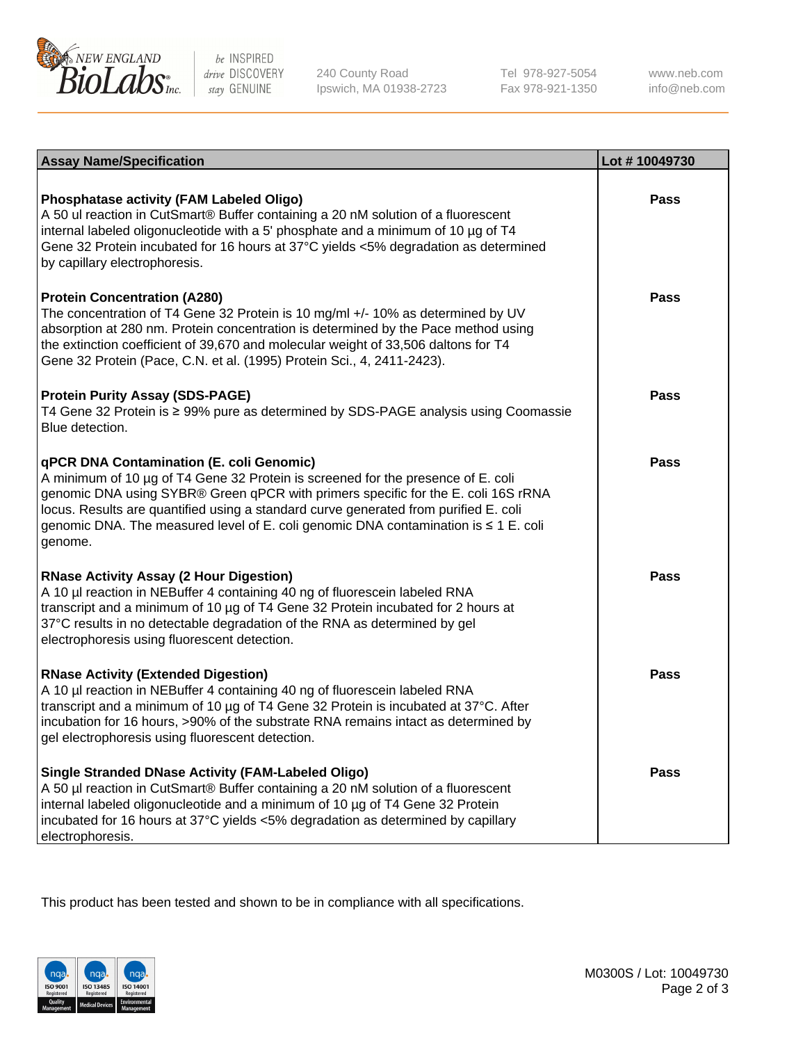

be INSPIRED drive DISCOVERY stay GENUINE

240 County Road Ipswich, MA 01938-2723 Tel 978-927-5054 Fax 978-921-1350 www.neb.com info@neb.com

| <b>Assay Name/Specification</b>                                                                                                                                                                                                                                                                                                                                                                             | Lot #10049730 |
|-------------------------------------------------------------------------------------------------------------------------------------------------------------------------------------------------------------------------------------------------------------------------------------------------------------------------------------------------------------------------------------------------------------|---------------|
| <b>Phosphatase activity (FAM Labeled Oligo)</b><br>A 50 ul reaction in CutSmart® Buffer containing a 20 nM solution of a fluorescent<br>internal labeled oligonucleotide with a 5' phosphate and a minimum of 10 µg of T4<br>Gene 32 Protein incubated for 16 hours at 37°C yields <5% degradation as determined<br>by capillary electrophoresis.                                                           | <b>Pass</b>   |
| <b>Protein Concentration (A280)</b><br>The concentration of T4 Gene 32 Protein is 10 mg/ml +/- 10% as determined by UV<br>absorption at 280 nm. Protein concentration is determined by the Pace method using<br>the extinction coefficient of 39,670 and molecular weight of 33,506 daltons for T4<br>Gene 32 Protein (Pace, C.N. et al. (1995) Protein Sci., 4, 2411-2423).                                | <b>Pass</b>   |
| <b>Protein Purity Assay (SDS-PAGE)</b><br>T4 Gene 32 Protein is ≥ 99% pure as determined by SDS-PAGE analysis using Coomassie<br>Blue detection.                                                                                                                                                                                                                                                            | Pass          |
| qPCR DNA Contamination (E. coli Genomic)<br>A minimum of 10 µg of T4 Gene 32 Protein is screened for the presence of E. coli<br>genomic DNA using SYBR® Green qPCR with primers specific for the E. coli 16S rRNA<br>locus. Results are quantified using a standard curve generated from purified E. coli<br>genomic DNA. The measured level of E. coli genomic DNA contamination is ≤ 1 E. coli<br>genome. | Pass          |
| <b>RNase Activity Assay (2 Hour Digestion)</b><br>A 10 µl reaction in NEBuffer 4 containing 40 ng of fluorescein labeled RNA<br>transcript and a minimum of 10 µg of T4 Gene 32 Protein incubated for 2 hours at<br>37°C results in no detectable degradation of the RNA as determined by gel<br>electrophoresis using fluorescent detection.                                                               | Pass          |
| <b>RNase Activity (Extended Digestion)</b><br>A 10 µl reaction in NEBuffer 4 containing 40 ng of fluorescein labeled RNA<br>transcript and a minimum of 10 µg of T4 Gene 32 Protein is incubated at 37°C. After<br>incubation for 16 hours, >90% of the substrate RNA remains intact as determined by<br>gel electrophoresis using fluorescent detection.                                                   | Pass          |
| <b>Single Stranded DNase Activity (FAM-Labeled Oligo)</b><br>A 50 µl reaction in CutSmart® Buffer containing a 20 nM solution of a fluorescent<br>internal labeled oligonucleotide and a minimum of 10 µg of T4 Gene 32 Protein<br>incubated for 16 hours at 37°C yields <5% degradation as determined by capillary<br>electrophoresis.                                                                     | Pass          |

This product has been tested and shown to be in compliance with all specifications.